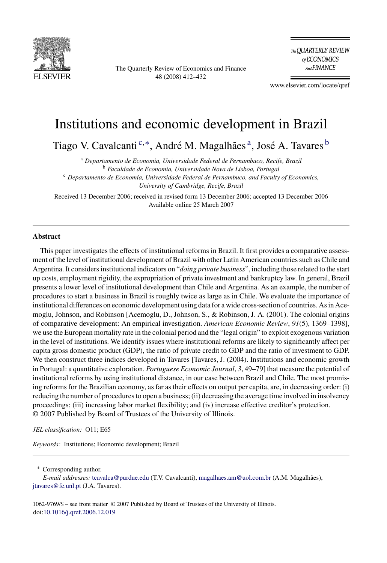

The Quarterly Review of Economics and Finance 48 (2008) 412–432

The QUARTERLY REVIEW of ECONOMICS And FINANCE

www.elsevier.com/locate/qref

## Institutions and economic development in Brazil

Tiago V. Cavalcanti<sup>c,\*</sup>, André M. Magalhães<sup>a</sup>, José A. Tavares <sup>b</sup>

<sup>a</sup> *Departamento de Economia, Universidade Federal de Pernambuco, Recife, Brazil* <sup>b</sup> *Faculdade de Economia, Universidade Nova de Lisboa, Portugal* <sup>c</sup> *Departamento de Economia, Universidade Federal de Pernambuco, and Faculty of Economics, University of Cambridge, Recife, Brazil*

Received 13 December 2006; received in revised form 13 December 2006; accepted 13 December 2006 Available online 25 March 2007

## **Abstract**

This paper investigates the effects of institutional reforms in Brazil. It first provides a comparative assessment of the level of institutional development of Brazil with other Latin American countries such as Chile and Argentina. It considers institutional indicators on "*doing private business*", including those related to the start up costs, employment rigidity, the expropriation of private investment and bankruptcy law. In general, Brazil presents a lower level of institutional development than Chile and Argentina. As an example, the number of procedures to start a business in Brazil is roughly twice as large as in Chile. We evaluate the importance of institutional differences on economic development using data for a wide cross-section of countries. As in Acemoglu, Johnson, and Robinson [Acemoglu, D., Johnson, S., & Robinson, J. A. (2001). The colonial origins of comparative development: An empirical investigation. *American Economic Review*, *91*(5), 1369–1398], we use the European mortality rate in the colonial period and the "legal origin" to exploit exogenous variation in the level of institutions. We identify issues where institutional reforms are likely to significantly affect per capita gross domestic product (GDP), the ratio of private credit to GDP and the ratio of investment to GDP. We then construct three indices developed in Tavares [Tavares, J. (2004). Institutions and economic growth in Portugal: a quantitative exploration. *Portuguese Economic Journal*, *3*, 49–79] that measure the potential of institutional reforms by using institutional distance, in our case between Brazil and Chile. The most promising reforms for the Brazilian economy, as far as their effects on output per capita, are, in decreasing order: (i) reducing the number of procedures to open a business; (ii) decreasing the average time involved in insolvency proceedings; (iii) increasing labor market flexibility; and (iv) increase effective creditor's protection. © 2007 Published by Board of Trustees of the University of Illinois.

*JEL classification:* O11; E65

*Keywords:* Institutions; Economic development; Brazil

∗ Corresponding author.

1062-9769/\$ – see front matter © 2007 Published by Board of Trustees of the University of Illinois. doi[:10.1016/j.qref.2006.12.019](dx.doi.org/10.1016/j.qref.2006.12.019)

E-mail addresses: [tcavalca@purdue.edu](mailto:tcavalca@purdue.edu) (T.V. Cavalcanti), [magalhaes.am@uol.com.br](mailto:magalhaes.am@uol.com.br) (A.M. Magalhães), [jtavares@fe.unl.pt](mailto:jtavares@fe.unl.pt) (J.A. Tavares).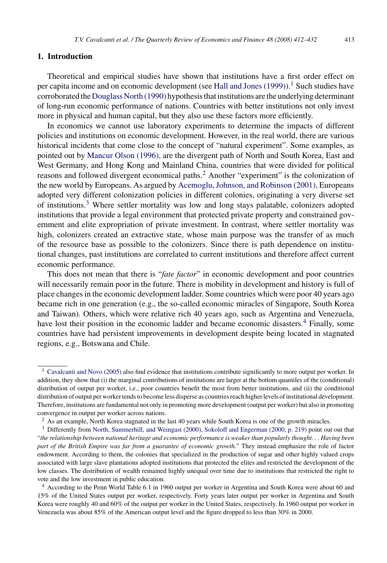## **1. Introduction**

Theoretical and empirical studies have shown that institutions have a first order effect on per capita income and on economic development (see Hall and Jones  $(1999)$ ).<sup>1</sup> Such studies have corroborated the [Douglass North \(1990\)](#page--1-0) hypothesis that institutions are the underlying determinant of long-run economic performance of nations. Countries with better institutions not only invest more in physical and human capital, but they also use these factors more efficiently.

In economics we cannot use laboratory experiments to determine the impacts of different policies and institutions on economic development. However, in the real world, there are various historical incidents that come close to the concept of "natural experiment". Some examples, as pointed out by [Mancur Olson \(1996\), a](#page--1-0)re the divergent path of North and South Korea, East and West Germany, and Hong Kong and Mainland China, countries that were divided for political reasons and followed divergent economical paths.<sup>2</sup> Another "experiment" is the colonization of the new world by Europeans. As argued by [Acemoglu, Johnson, and Robinson \(2001\), E](#page--1-0)uropeans adopted very different colonization policies in different colonies, originating a very diverse set of institutions.3 Where settler mortality was low and long stays palatable, colonizers adopted institutions that provide a legal environment that protected private property and constrained government and elite expropriation of private investment. In contrast, where settler mortality was high, colonizers created an extractive state, whose main purpose was the transfer of as much of the resource base as possible to the colonizers. Since there is path dependence on institutional changes, past institutions are correlated to current institutions and therefore affect current economic performance.

This does not mean that there is "*fate factor*" in economic development and poor countries will necessarily remain poor in the future. There is mobility in development and history is full of place changes in the economic development ladder. Some countries which were poor 40 years ago became rich in one generation (e.g., the so-called economic miracles of Singapore, South Korea and Taiwan). Others, which were relative rich 40 years ago, such as Argentina and Venezuela, have lost their position in the economic ladder and became economic disasters.<sup>4</sup> Finally, some countries have had persistent improvements in development despite being located in stagnated regions, e.g., Botswana and Chile.

<sup>&</sup>lt;sup>1</sup> [Cavalcanti and Novo \(2005\)](#page--1-0) also find evidence that institutions contribute significantly to more output per worker. In addition, they show that (i) the marginal contributions of institutions are larger at the bottom quantiles of the (conditional) distribution of output per worker, i.e., poor countries benefit the most from better institutions, and (ii) the conditional distribution of output per worker tends to become less disperse as countries reach higher levels of institutional development. Therefore, institutions are fundamental not only in promoting more development (output per worker) but also in promoting convergence in output per worker across nations.

<sup>&</sup>lt;sup>2</sup> As an example, North Korea stagnated in the last 40 years while South Korea is one of the growth miracles.

<sup>3</sup> Differently from [North, Summerhill, and Weingast \(2000\),](#page--1-0) [Sokoloff and Engerman \(2000, p. 219\)](#page--1-0) point out out that "*the relationship between national heritage and economic performance is weaker than popularly thought*... *Having been part of the British Empire was far from a guarantee of economic growth.*" They instead emphasize the role of factor endowment. According to them, the colonies that specialized in the production of sugar and other highly valued crops associated with large slave plantations adopted institutions that protected the elites and restricted the development of the low classes. The distribution of wealth remained highly unequal over time due to institutions that restricted the right to vote and the low investment in public education.

<sup>4</sup> According to the Penn World Table 6.1 in 1960 output per worker in Argentina and South Korea were about 60 and 15% of the United States output per worker, respectively. Forty years later output per worker in Argentina and South Korea were roughly 40 and 60% of the output per worker in the United States, respectively. In 1960 output per worker in Venezuela was about 85% of the American output level and the figure dropped to less than 30% in 2000.